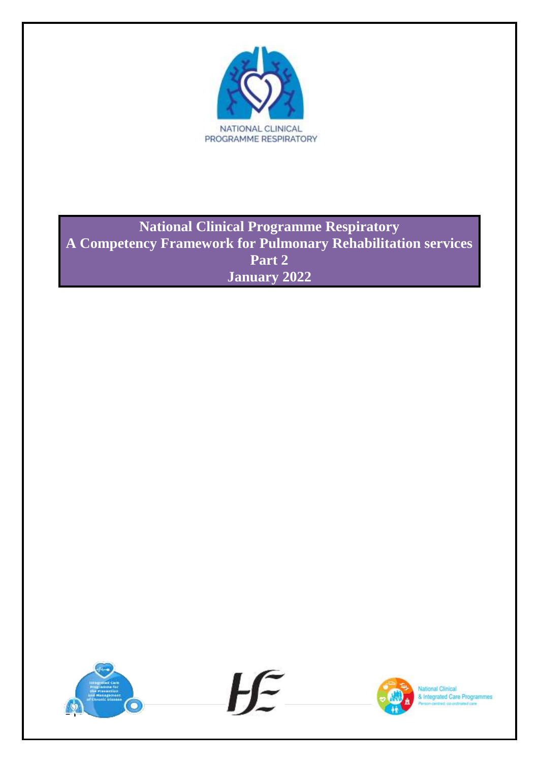

**National Clinical Programme Respiratory A Competency Framework for Pulmonary Rehabilitation services Part 2 January 2022**

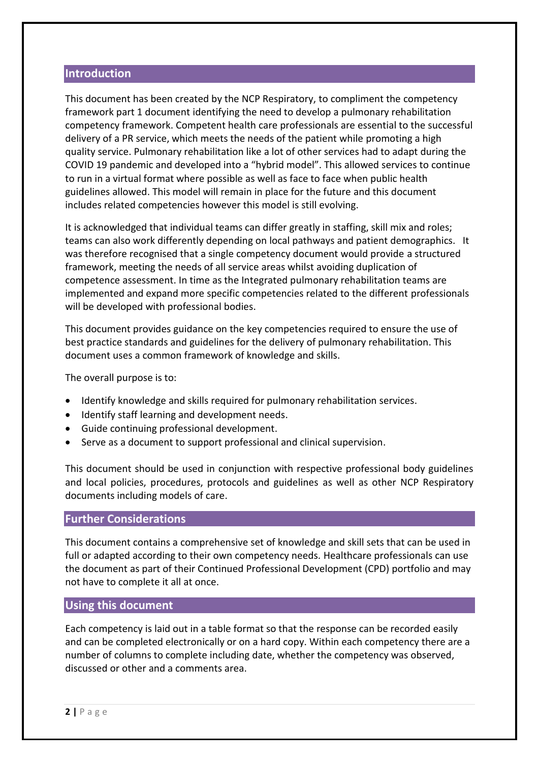#### **Introduction**

This document has been created by the NCP Respiratory, to compliment the competency framework part 1 document identifying the need to develop a pulmonary rehabilitation competency framework. Competent health care professionals are essential to the successful delivery of a PR service, which meets the needs of the patient while promoting a high quality service. Pulmonary rehabilitation like a lot of other services had to adapt during the COVID 19 pandemic and developed into a "hybrid model". This allowed services to continue to run in a virtual format where possible as well as face to face when public health guidelines allowed. This model will remain in place for the future and this document includes related competencies however this model is still evolving.

It is acknowledged that individual teams can differ greatly in staffing, skill mix and roles; teams can also work differently depending on local pathways and patient demographics. It was therefore recognised that a single competency document would provide a structured framework, meeting the needs of all service areas whilst avoiding duplication of competence assessment. In time as the Integrated pulmonary rehabilitation teams are implemented and expand more specific competencies related to the different professionals will be developed with professional bodies.

This document provides guidance on the key competencies required to ensure the use of best practice standards and guidelines for the delivery of pulmonary rehabilitation. This document uses a common framework of knowledge and skills.

The overall purpose is to:

- Identify knowledge and skills required for pulmonary rehabilitation services.
- $\bullet$  Identify staff learning and development needs.
- Guide continuing professional development.
- Serve as a document to support professional and clinical supervision.

This document should be used in conjunction with respective professional body guidelines and local policies, procedures, protocols and guidelines as well as other NCP Respiratory documents including models of care.

#### **Further Considerations**

This document contains a comprehensive set of knowledge and skill sets that can be used in full or adapted according to their own competency needs. Healthcare professionals can use the document as part of their Continued Professional Development (CPD) portfolio and may not have to complete it all at once.

#### **Using this document**

Each competency is laid out in a table format so that the response can be recorded easily and can be completed electronically or on a hard copy. Within each competency there are a number of columns to complete including date, whether the competency was observed, discussed or other and a comments area.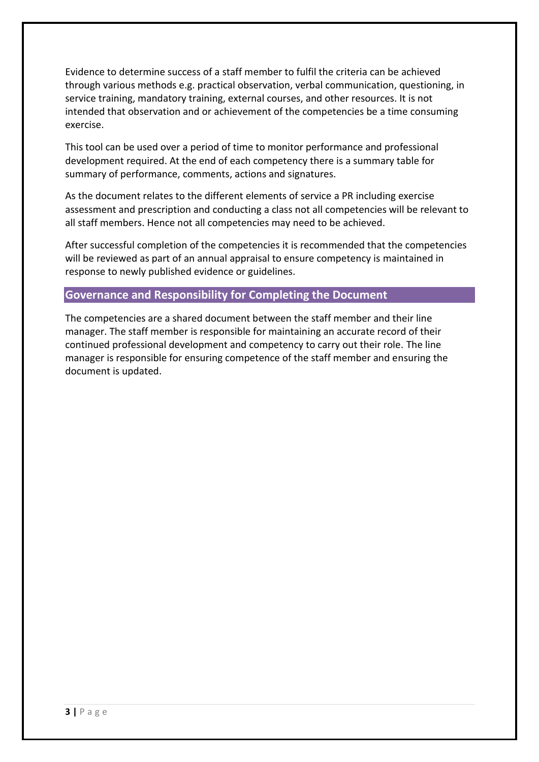Evidence to determine success of a staff member to fulfil the criteria can be achieved through various methods e.g. practical observation, verbal communication, questioning, in service training, mandatory training, external courses, and other resources. It is not intended that observation and or achievement of the competencies be a time consuming exercise.

This tool can be used over a period of time to monitor performance and professional development required. At the end of each competency there is a summary table for summary of performance, comments, actions and signatures.

As the document relates to the different elements of service a PR including exercise assessment and prescription and conducting a class not all competencies will be relevant to all staff members. Hence not all competencies may need to be achieved.

After successful completion of the competencies it is recommended that the competencies will be reviewed as part of an annual appraisal to ensure competency is maintained in response to newly published evidence or guidelines.

#### **Governance and Responsibility for Completing the Document**

The competencies are a shared document between the staff member and their line manager. The staff member is responsible for maintaining an accurate record of their continued professional development and competency to carry out their role. The line manager is responsible for ensuring competence of the staff member and ensuring the document is updated.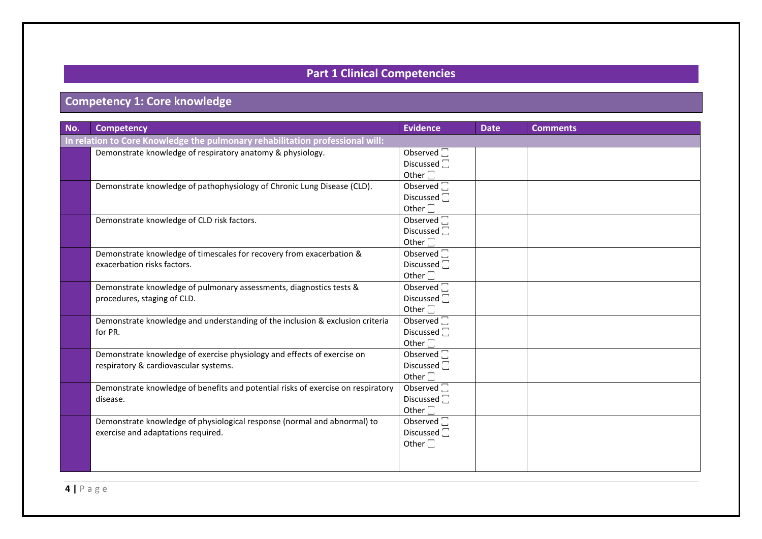# **Part 1 Clinical Competencies**

# **Competency 1: Core knowledge**

| No. | <b>Competency</b>                                                                                                | Evidence                                                                | <b>Date</b> | <b>Comments</b> |  |  |
|-----|------------------------------------------------------------------------------------------------------------------|-------------------------------------------------------------------------|-------------|-----------------|--|--|
|     | In relation to Core Knowledge the pulmonary rehabilitation professional will:                                    |                                                                         |             |                 |  |  |
|     | Demonstrate knowledge of respiratory anatomy & physiology.                                                       | Observed $\square$<br>Discussed <sup>-</sup><br>Other $\square$         |             |                 |  |  |
|     | Demonstrate knowledge of pathophysiology of Chronic Lung Disease (CLD).                                          | Observed $\Box$<br>Discussed $\Box$<br>Other $\square$                  |             |                 |  |  |
|     | Demonstrate knowledge of CLD risk factors.                                                                       | Observed $\Box$<br>Discussed <sup>-</sup><br>Other $\square$            |             |                 |  |  |
|     | Demonstrate knowledge of timescales for recovery from exacerbation &<br>exacerbation risks factors.              | Observed $\square$<br>Discussed <sup>1</sup><br>Other $\square$         |             |                 |  |  |
|     | Demonstrate knowledge of pulmonary assessments, diagnostics tests &<br>procedures, staging of CLD.               | Observed $\square$<br>Discussed $\square$<br>Other $\square$            |             |                 |  |  |
|     | Demonstrate knowledge and understanding of the inclusion & exclusion criteria<br>for PR.                         | Observed $\overline{\Box}$<br>Discussed <sup>1</sup><br>Other $\square$ |             |                 |  |  |
|     | Demonstrate knowledge of exercise physiology and effects of exercise on<br>respiratory & cardiovascular systems. | Observed $\square$<br>Discussed $\square$<br>Other $\square$            |             |                 |  |  |
|     | Demonstrate knowledge of benefits and potential risks of exercise on respiratory<br>disease.                     | Observed $\square$<br>Discussed <sup>-</sup><br>Other $\square$         |             |                 |  |  |
|     | Demonstrate knowledge of physiological response (normal and abnormal) to<br>exercise and adaptations required.   | Observed $\overline{\Box}$<br>Discussed $\square$<br>Other $\square$    |             |                 |  |  |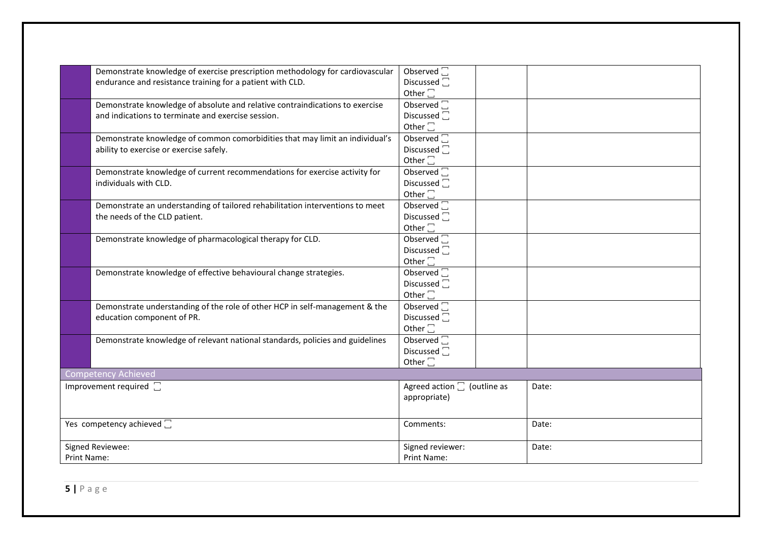|                                | Demonstrate knowledge of exercise prescription methodology for cardiovascular | Observed $\Box$                     |       |
|--------------------------------|-------------------------------------------------------------------------------|-------------------------------------|-------|
|                                | endurance and resistance training for a patient with CLD.                     | Discussed $\square$                 |       |
|                                |                                                                               | Other $\square$                     |       |
|                                | Demonstrate knowledge of absolute and relative contraindications to exercise  | Observed $\square$                  |       |
|                                | and indications to terminate and exercise session.                            | Discussed $\square$                 |       |
|                                |                                                                               | Other $\square$                     |       |
|                                | Demonstrate knowledge of common comorbidities that may limit an individual's  | Observed $\square$                  |       |
|                                |                                                                               |                                     |       |
|                                | ability to exercise or exercise safely.                                       | Discussed <sup>1</sup>              |       |
|                                |                                                                               | Other $\square$                     |       |
|                                | Demonstrate knowledge of current recommendations for exercise activity for    | Observed $\Box$                     |       |
|                                | individuals with CLD.                                                         | Discussed <sup>1</sup>              |       |
|                                |                                                                               | Other $\square$                     |       |
|                                | Demonstrate an understanding of tailored rehabilitation interventions to meet | Observed $\square$                  |       |
|                                | the needs of the CLD patient.                                                 | Discussed <sup>-</sup>              |       |
|                                |                                                                               | Other $\square$                     |       |
|                                | Demonstrate knowledge of pharmacological therapy for CLD.                     | Observed $\square$                  |       |
|                                |                                                                               | Discussed <sup>-</sup>              |       |
|                                |                                                                               |                                     |       |
|                                |                                                                               | Other $\square$                     |       |
|                                | Demonstrate knowledge of effective behavioural change strategies.             | Observed $\square$                  |       |
|                                |                                                                               | Discussed <sup>1</sup>              |       |
|                                |                                                                               | Other $\square$                     |       |
|                                | Demonstrate understanding of the role of other HCP in self-management & the   | Observed $\square$                  |       |
|                                | education component of PR.                                                    | Discussed <sup>1</sup>              |       |
|                                |                                                                               | Other $\square$                     |       |
|                                | Demonstrate knowledge of relevant national standards, policies and guidelines | Observed <sub>[1]</sub>             |       |
|                                |                                                                               | Discussed <sup>-</sup>              |       |
|                                |                                                                               | Other $\square$                     |       |
|                                |                                                                               |                                     |       |
|                                | <b>Competency Achieved</b>                                                    |                                     |       |
| Improvement required $\square$ |                                                                               | Agreed action $\square$ (outline as | Date: |
|                                |                                                                               | appropriate)                        |       |
|                                |                                                                               |                                     |       |
| Yes competency achieved [      |                                                                               | Comments:                           | Date: |
|                                |                                                                               |                                     |       |
|                                | Signed Reviewee:                                                              | Signed reviewer:                    | Date: |
| Print Name:                    |                                                                               | Print Name:                         |       |
|                                |                                                                               |                                     |       |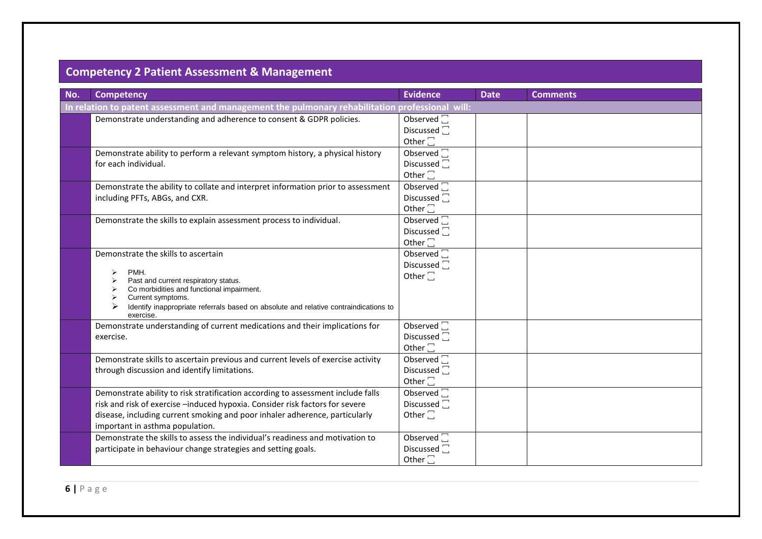## **Competency 2 Patient Assessment & Management**

| No. | <b>Competency</b>                                                                                                                                                                                                                                                                  | <b>Evidence</b>                                                         | <b>Date</b> | <b>Comments</b> |
|-----|------------------------------------------------------------------------------------------------------------------------------------------------------------------------------------------------------------------------------------------------------------------------------------|-------------------------------------------------------------------------|-------------|-----------------|
|     | In relation to patent assessment and management the pulmonary rehabilitation professional will:                                                                                                                                                                                    |                                                                         |             |                 |
|     | Demonstrate understanding and adherence to consent & GDPR policies.                                                                                                                                                                                                                | Observed $\square$<br>Discussed <sub>[</sub><br>Other $\square$         |             |                 |
|     | Demonstrate ability to perform a relevant symptom history, a physical history<br>for each individual.                                                                                                                                                                              | Observed <sup>[1]</sup><br>Discussed <sup>[]</sup><br>Other $\square$   |             |                 |
|     | Demonstrate the ability to collate and interpret information prior to assessment<br>including PFTs, ABGs, and CXR.                                                                                                                                                                 | Observed $\Box$<br>Discussed <sup>-</sup><br>Other $\square$            |             |                 |
|     | Demonstrate the skills to explain assessment process to individual.                                                                                                                                                                                                                | Observed $\overline{\Box}$<br>Discussed <sup>1</sup><br>Other $\square$ |             |                 |
|     | Demonstrate the skills to ascertain<br>PMH.<br>➤<br>Past and current respiratory status.<br>Co morbidities and functional impairment.<br>Current symptoms.<br>Identify inappropriate referrals based on absolute and relative contraindications to<br>exercise.                    | Observed $\square$<br>Discussed $\square$<br>Other $\square$            |             |                 |
|     | Demonstrate understanding of current medications and their implications for<br>exercise.                                                                                                                                                                                           | Observed <sup>[1]</sup><br>Discussed $\square$<br>Other $\square$       |             |                 |
|     | Demonstrate skills to ascertain previous and current levels of exercise activity<br>through discussion and identify limitations.                                                                                                                                                   | Observed $\Box$<br>Discussed $\square$<br>Other $\square$               |             |                 |
|     | Demonstrate ability to risk stratification according to assessment include falls<br>risk and risk of exercise -induced hypoxia. Consider risk factors for severe<br>disease, including current smoking and poor inhaler adherence, particularly<br>important in asthma population. | Observed $\Box$<br>Discussed <sup>7</sup><br>Other $\Box$               |             |                 |
|     | Demonstrate the skills to assess the individual's readiness and motivation to<br>participate in behaviour change strategies and setting goals.                                                                                                                                     | Observed $\square$<br>Discussed <sup>7</sup><br>Other $\square$         |             |                 |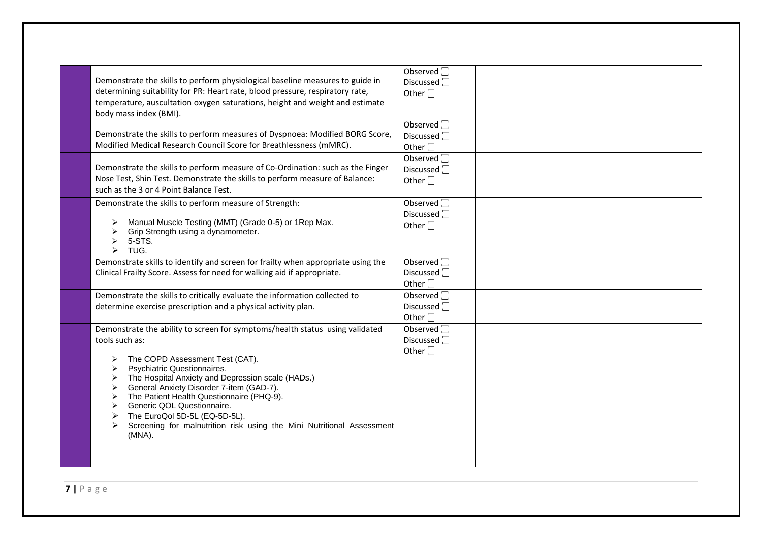| Observed $\square$<br>Demonstrate the skills to perform physiological baseline measures to guide in<br>Discussed <sub>I</sub><br>Other $\Box$<br>temperature, auscultation oxygen saturations, height and weight and estimate       |
|-------------------------------------------------------------------------------------------------------------------------------------------------------------------------------------------------------------------------------------|
| Observed $\square$<br>Demonstrate the skills to perform measures of Dyspnoea: Modified BORG Score,<br>Discussed <sup>1</sup><br>Other $\square$                                                                                     |
| Observed <sup>7</sup><br>Demonstrate the skills to perform measure of Co-Ordination: such as the Finger<br>Discussed <sup>1</sup><br>Nose Test, Shin Test. Demonstrate the skills to perform measure of Balance:<br>Other $\square$ |
| Observed $\Box$<br>Discussed $\Box$<br>Other $\Box$                                                                                                                                                                                 |
| Demonstrate skills to identify and screen for frailty when appropriate using the<br>Observed $\square$<br>Discussed <sub>[1]</sub><br>Other $\square$                                                                               |
| Observed $\square$<br>Discussed <sup>7</sup><br>Other $\square$                                                                                                                                                                     |
| Observed <sup>[1]</sup><br>Demonstrate the ability to screen for symptoms/health status using validated<br>Discussed <sub>[1]</sub><br>Other $\square$<br>Screening for malnutrition risk using the Mini Nutritional Assessment     |
|                                                                                                                                                                                                                                     |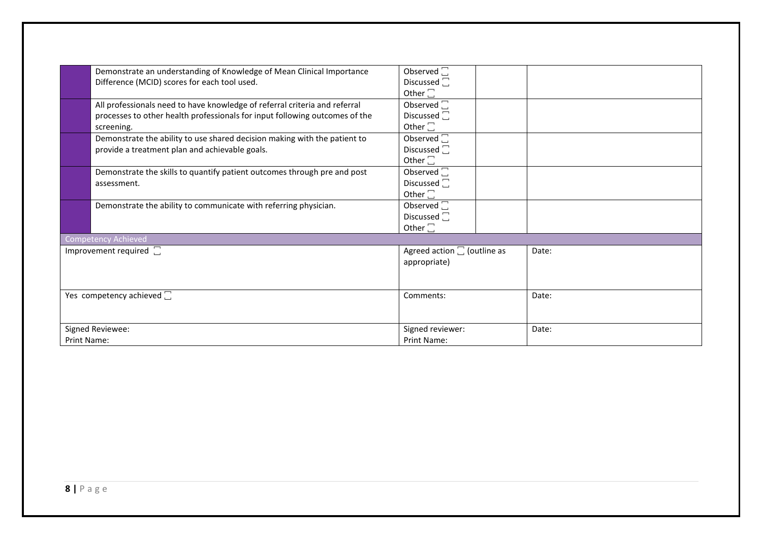|                                   | Demonstrate an understanding of Knowledge of Mean Clinical Importance       | Observed $\square$                  |       |
|-----------------------------------|-----------------------------------------------------------------------------|-------------------------------------|-------|
|                                   | Difference (MCID) scores for each tool used.                                | Discussed $\square$                 |       |
|                                   |                                                                             | Other $\square$                     |       |
|                                   | All professionals need to have knowledge of referral criteria and referral  | Observed $\square$                  |       |
|                                   | processes to other health professionals for input following outcomes of the | Discussed $\square$                 |       |
|                                   | screening.                                                                  | Other $\square$                     |       |
|                                   | Demonstrate the ability to use shared decision making with the patient to   | Observed $\square$                  |       |
|                                   | provide a treatment plan and achievable goals.                              | Discussed $\square$                 |       |
|                                   |                                                                             | Other $\square$                     |       |
|                                   | Demonstrate the skills to quantify patient outcomes through pre and post    | Observed $\overline{\Box}$          |       |
|                                   | assessment.                                                                 | Discussed $\square$                 |       |
|                                   |                                                                             | Other $\square$                     |       |
|                                   | Demonstrate the ability to communicate with referring physician.            | Observed $\square$                  |       |
|                                   |                                                                             | Discussed $\square$                 |       |
|                                   |                                                                             | Other $\square$                     |       |
|                                   | Competency Achieved                                                         |                                     |       |
|                                   | Improvement required $\square$                                              | Agreed action $\square$ (outline as | Date: |
|                                   |                                                                             | appropriate)                        |       |
|                                   |                                                                             |                                     |       |
|                                   |                                                                             |                                     |       |
| Yes competency achieved $\square$ |                                                                             | Comments:                           | Date: |
|                                   |                                                                             |                                     |       |
|                                   |                                                                             |                                     |       |
|                                   | Signed Reviewee:                                                            | Signed reviewer:                    | Date: |
| <b>Print Name:</b>                |                                                                             | <b>Print Name:</b>                  |       |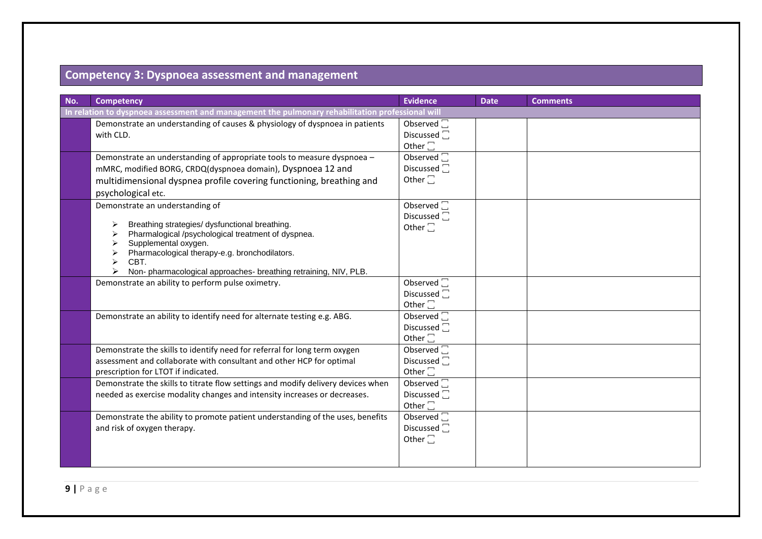#### **Competency 3: Dyspnoea assessment and management**

| No. | <b>Competency</b>                                                                                                                                                                                                                                                                          | <b>Evidence</b>                                                         | <b>Date</b> | <b>Comments</b> |  |  |
|-----|--------------------------------------------------------------------------------------------------------------------------------------------------------------------------------------------------------------------------------------------------------------------------------------------|-------------------------------------------------------------------------|-------------|-----------------|--|--|
|     | In relation to dyspnoea assessment and management the pulmonary rehabilitation professional will                                                                                                                                                                                           |                                                                         |             |                 |  |  |
|     | Demonstrate an understanding of causes & physiology of dyspnoea in patients<br>with CLD.                                                                                                                                                                                                   | Observed $\square$<br>Discussed <sup>1</sup><br>Other $\square$         |             |                 |  |  |
|     | Demonstrate an understanding of appropriate tools to measure dyspnoea -<br>mMRC, modified BORG, CRDQ(dyspnoea domain), Dyspnoea 12 and<br>multidimensional dyspnea profile covering functioning, breathing and<br>psychological etc.                                                       | Observed $\square$<br>Discussed $\square$<br>Other $\Box$               |             |                 |  |  |
|     | Demonstrate an understanding of<br>Breathing strategies/ dysfunctional breathing.<br>Pharmalogical /psychological treatment of dyspnea.<br>Supplemental oxygen.<br>Pharmacological therapy-e.g. bronchodilators.<br>CBT.<br>Non-pharmacological approaches-breathing retraining, NIV, PLB. | Observed $\square$<br>Discussed $\square$<br>Other $\square$            |             |                 |  |  |
|     | Demonstrate an ability to perform pulse oximetry.                                                                                                                                                                                                                                          | Observed $\square$<br>Discussed $\square$<br>Other $\square$            |             |                 |  |  |
|     | Demonstrate an ability to identify need for alternate testing e.g. ABG.                                                                                                                                                                                                                    | Observed $\Box$<br>Discussed <sup>1</sup><br>Other $\square$            |             |                 |  |  |
|     | Demonstrate the skills to identify need for referral for long term oxygen<br>assessment and collaborate with consultant and other HCP for optimal<br>prescription for LTOT if indicated.                                                                                                   | Observed $\square$<br>Discussed $\Box$<br>Other $\square$               |             |                 |  |  |
|     | Demonstrate the skills to titrate flow settings and modify delivery devices when<br>needed as exercise modality changes and intensity increases or decreases.                                                                                                                              | Observed $\square$<br>Discussed <sub>[</sub><br>Other $\square$         |             |                 |  |  |
|     | Demonstrate the ability to promote patient understanding of the uses, benefits<br>and risk of oxygen therapy.                                                                                                                                                                              | Observed $\overline{\Box}$<br>Discussed <sup>1</sup><br>Other $\square$ |             |                 |  |  |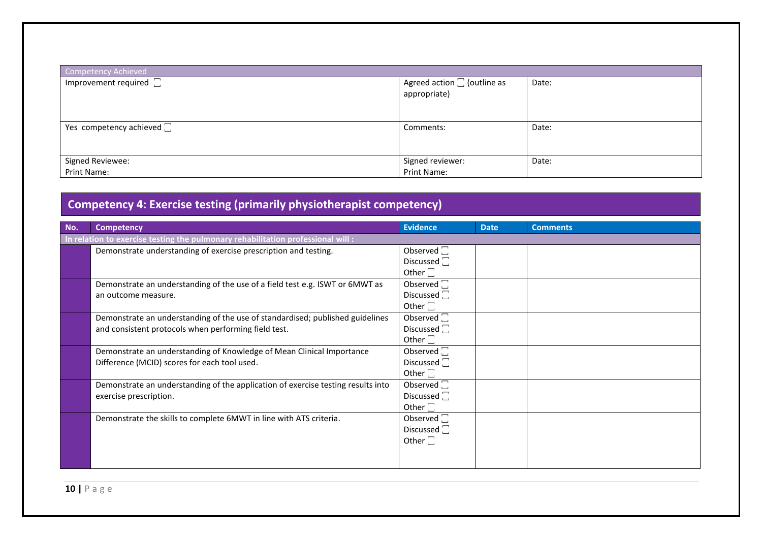| Competency Achieved               |                                                     |       |  |  |
|-----------------------------------|-----------------------------------------------------|-------|--|--|
| Improvement required $\square$    | Agreed action $\square$ (outline as<br>appropriate) | Date: |  |  |
| Yes competency achieved $\square$ | Comments:                                           | Date: |  |  |
| Signed Reviewee:                  | Signed reviewer:                                    | Date: |  |  |
| Print Name:                       | Print Name:                                         |       |  |  |

# **Competency 4: Exercise testing (primarily physiotherapist competency)**

| No. | <b>Competency</b>                                                                | <b>Evidence</b>       | <b>Date</b> | <b>Comments</b> |  |  |
|-----|----------------------------------------------------------------------------------|-----------------------|-------------|-----------------|--|--|
|     | In relation to exercise testing the pulmonary rehabilitation professional will:  |                       |             |                 |  |  |
|     | Demonstrate understanding of exercise prescription and testing.                  | Observed $\square$    |             |                 |  |  |
|     |                                                                                  | Discussed $\square$   |             |                 |  |  |
|     |                                                                                  | Other $\square$       |             |                 |  |  |
|     | Demonstrate an understanding of the use of a field test e.g. ISWT or 6MWT as     | Observed $\Box$       |             |                 |  |  |
|     | an outcome measure.                                                              | Discussed $\Box$      |             |                 |  |  |
|     |                                                                                  | Other $\square$       |             |                 |  |  |
|     | Demonstrate an understanding of the use of standardised; published guidelines    | Observed <sup>-</sup> |             |                 |  |  |
|     | and consistent protocols when performing field test.                             | Discussed $\square$   |             |                 |  |  |
|     |                                                                                  | Other $\square$       |             |                 |  |  |
|     | Demonstrate an understanding of Knowledge of Mean Clinical Importance            | Observed $\square$    |             |                 |  |  |
|     | Difference (MCID) scores for each tool used.                                     | Discussed $\Box$      |             |                 |  |  |
|     |                                                                                  | Other $\square$       |             |                 |  |  |
|     | Demonstrate an understanding of the application of exercise testing results into | Observed <sup>-</sup> |             |                 |  |  |
|     | exercise prescription.                                                           | Discussed $\square$   |             |                 |  |  |
|     |                                                                                  | Other $\square$       |             |                 |  |  |
|     | Demonstrate the skills to complete 6MWT in line with ATS criteria.               | Observed <sub>I</sub> |             |                 |  |  |
|     |                                                                                  | Discussed $\square$   |             |                 |  |  |
|     |                                                                                  | Other $\square$       |             |                 |  |  |
|     |                                                                                  |                       |             |                 |  |  |
|     |                                                                                  |                       |             |                 |  |  |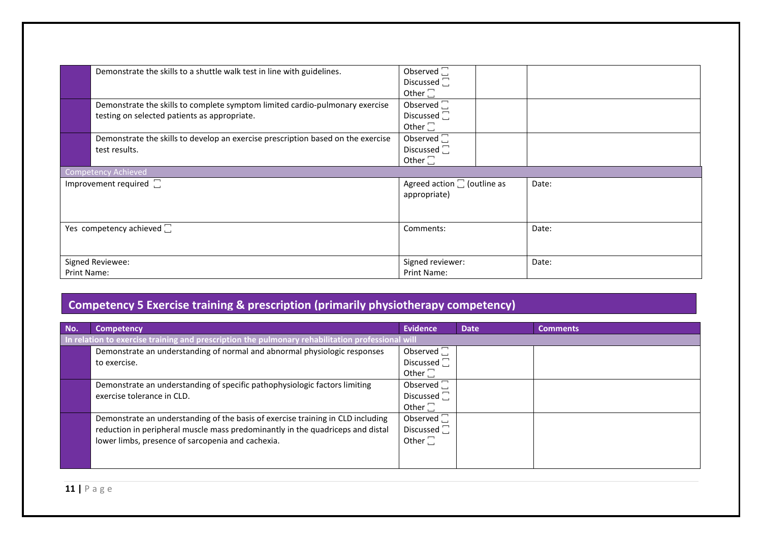|                  | Demonstrate the skills to a shuttle walk test in line with guidelines.                                                       | Observed $\square$<br>Discussed $\square$<br>Other $\square$    |       |
|------------------|------------------------------------------------------------------------------------------------------------------------------|-----------------------------------------------------------------|-------|
|                  | Demonstrate the skills to complete symptom limited cardio-pulmonary exercise<br>testing on selected patients as appropriate. | Observed <sub>I</sub><br>Discussed $\square$<br>Other $\square$ |       |
|                  | Demonstrate the skills to develop an exercise prescription based on the exercise<br>test results.                            | Observed $\square$<br>Discussed $\square$<br>Other $\square$    |       |
|                  | <b>Competency Achieved</b>                                                                                                   |                                                                 |       |
|                  | Improvement required $\square$                                                                                               | Agreed action $\Box$ (outline as<br>appropriate)                | Date: |
|                  | Yes competency achieved $\square$                                                                                            | Comments:                                                       | Date: |
| Signed Reviewee: |                                                                                                                              | Signed reviewer:                                                | Date: |
| Print Name:      |                                                                                                                              | <b>Print Name:</b>                                              |       |

#### **Competency 5 Exercise training & prescription (primarily physiotherapy competency)**

| No. | <b>Competency</b>                                                                                | <b>Evidence</b>     | <b>Date</b> | <b>Comments</b> |
|-----|--------------------------------------------------------------------------------------------------|---------------------|-------------|-----------------|
|     | In relation to exercise training and prescription the pulmonary rehabilitation professional will |                     |             |                 |
|     | Demonstrate an understanding of normal and abnormal physiologic responses                        | Observed $\square$  |             |                 |
|     | to exercise.                                                                                     | Discussed $\square$ |             |                 |
|     |                                                                                                  | Other $\square$     |             |                 |
|     | Demonstrate an understanding of specific pathophysiologic factors limiting                       | Observed $\square$  |             |                 |
|     | exercise tolerance in CLD.                                                                       | Discussed $\square$ |             |                 |
|     |                                                                                                  | Other $\square$     |             |                 |
|     | Demonstrate an understanding of the basis of exercise training in CLD including                  | Observed $\square$  |             |                 |
|     | reduction in peripheral muscle mass predominantly in the quadriceps and distal                   | Discussed $\square$ |             |                 |
|     | lower limbs, presence of sarcopenia and cachexia.                                                | Other $\square$     |             |                 |
|     |                                                                                                  |                     |             |                 |
|     |                                                                                                  |                     |             |                 |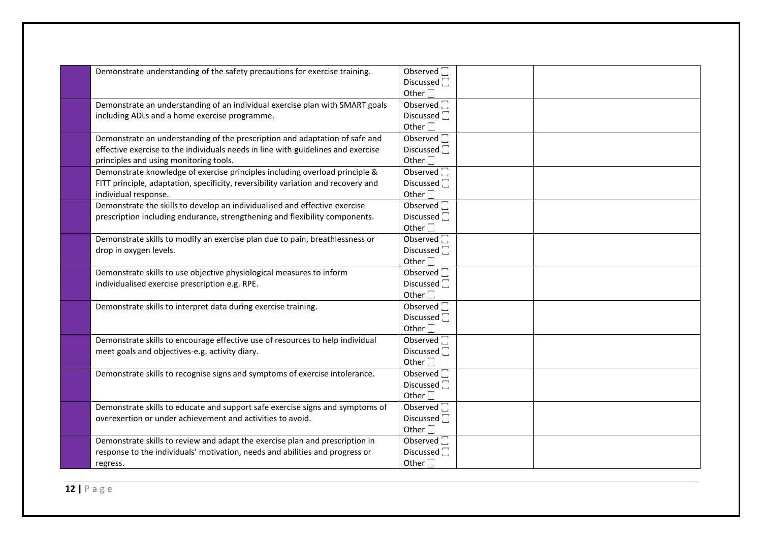| Demonstrate understanding of the safety precautions for exercise training.        | Observed <sup>[1]</sup>  |
|-----------------------------------------------------------------------------------|--------------------------|
|                                                                                   | Discussed <sup>-</sup>   |
|                                                                                   | Other $\square$          |
| Demonstrate an understanding of an individual exercise plan with SMART goals      | Observed <sup></sup>     |
| including ADLs and a home exercise programme.                                     | Discussed <sup>[]</sup>  |
|                                                                                   | Other $\square$          |
| Demonstrate an understanding of the prescription and adaptation of safe and       | Observed <sup>[1]</sup>  |
| effective exercise to the individuals needs in line with guidelines and exercise  | Discussed <sup>-</sup>   |
| principles and using monitoring tools.                                            | Other $\square$          |
| Demonstrate knowledge of exercise principles including overload principle &       | Observed <sup>[1]</sup>  |
| FITT principle, adaptation, specificity, reversibility variation and recovery and | Discussed $\square$      |
| individual response.                                                              | Other $\square$          |
| Demonstrate the skills to develop an individualised and effective exercise        | Observed $\square$       |
| prescription including endurance, strengthening and flexibility components.       | Discussed $\square$      |
|                                                                                   | Other $\square$          |
| Demonstrate skills to modify an exercise plan due to pain, breathlessness or      | Observed $\square$       |
| drop in oxygen levels.                                                            | Discussed <sup>1</sup>   |
|                                                                                   | Other $\square$          |
| Demonstrate skills to use objective physiological measures to inform              | Observed <sup>1</sup>    |
| individualised exercise prescription e.g. RPE.                                    | Discussed <sup>1</sup>   |
|                                                                                   | Other $\square$          |
| Demonstrate skills to interpret data during exercise training.                    | Observed <sup></sup>     |
|                                                                                   | Discussed <sup>1</sup>   |
|                                                                                   | Other $\square$          |
| Demonstrate skills to encourage effective use of resources to help individual     | Observed $\square$       |
| meet goals and objectives-e.g. activity diary.                                    | Discussed <sub>[1]</sub> |
|                                                                                   | Other $\square$          |
| Demonstrate skills to recognise signs and symptoms of exercise intolerance.       | Observed <sup></sup>     |
|                                                                                   | Discussed <sub>[1]</sub> |
|                                                                                   | Other $\square$          |
| Demonstrate skills to educate and support safe exercise signs and symptoms of     | Observed <sup></sup>     |
| overexertion or under achievement and activities to avoid.                        | Discussed <sub>[1]</sub> |
|                                                                                   | Other $\square$          |
| Demonstrate skills to review and adapt the exercise plan and prescription in      | Observed $\Box$          |
| response to the individuals' motivation, needs and abilities and progress or      | Discussed $\square$      |
| regress.                                                                          | Other $\square$          |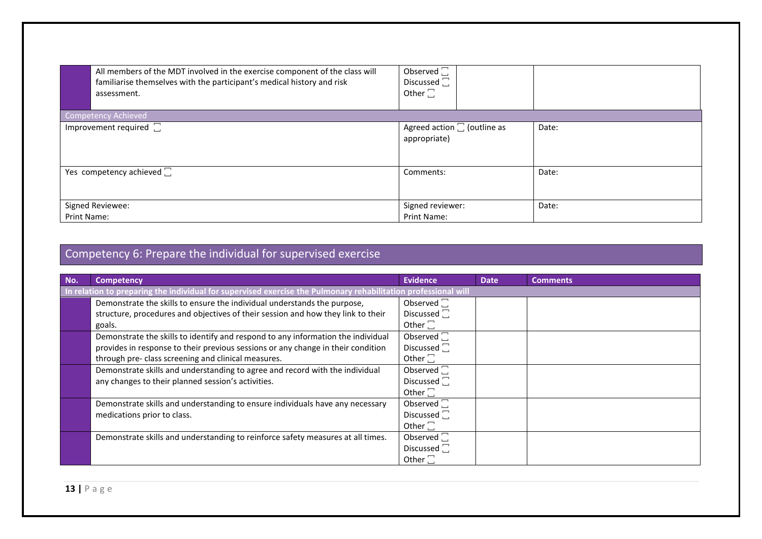| All members of the MDT involved in the exercise component of the class will<br>familiarise themselves with the participant's medical history and risk<br>assessment. | Observed $\square$<br>Discussed $\square$<br>Other $\square$ |       |
|----------------------------------------------------------------------------------------------------------------------------------------------------------------------|--------------------------------------------------------------|-------|
| <b>Competency Achieved</b><br>Improvement required $\square$                                                                                                         |                                                              |       |
|                                                                                                                                                                      | Agreed action $\square$ (outline as<br>appropriate)          | Date: |
| Yes competency achieved $\square$                                                                                                                                    | Comments:                                                    | Date: |
| Signed Reviewee:                                                                                                                                                     | Signed reviewer:                                             | Date: |
| <b>Print Name:</b>                                                                                                                                                   | <b>Print Name:</b>                                           |       |

# Competency 6: Prepare the individual for supervised exercise

| No. | Competency                                                                                                     | <b>Evidence</b>         | <b>Date</b> | <b>Comments</b> |  |
|-----|----------------------------------------------------------------------------------------------------------------|-------------------------|-------------|-----------------|--|
|     | In relation to preparing the individual for supervised exercise the Pulmonary rehabilitation professional will |                         |             |                 |  |
|     | Demonstrate the skills to ensure the individual understands the purpose,                                       | Observed $\Box$         |             |                 |  |
|     | structure, procedures and objectives of their session and how they link to their                               | Discussed $\square$     |             |                 |  |
|     | goals.                                                                                                         | Other $\square$         |             |                 |  |
|     | Demonstrate the skills to identify and respond to any information the individual                               | Observed <sup>[1]</sup> |             |                 |  |
|     | provides in response to their previous sessions or any change in their condition                               | Discussed $\square$     |             |                 |  |
|     | through pre- class screening and clinical measures.                                                            | Other $\square$         |             |                 |  |
|     | Demonstrate skills and understanding to agree and record with the individual                                   | Observed $\Box$         |             |                 |  |
|     | any changes to their planned session's activities.                                                             | Discussed $\square$     |             |                 |  |
|     |                                                                                                                | Other $\square$         |             |                 |  |
|     | Demonstrate skills and understanding to ensure individuals have any necessary                                  | Observed <sup>[1]</sup> |             |                 |  |
|     | medications prior to class.                                                                                    | Discussed $\square$     |             |                 |  |
|     |                                                                                                                | Other $\square$         |             |                 |  |
|     | Demonstrate skills and understanding to reinforce safety measures at all times.                                | Observed $\Box$         |             |                 |  |
|     |                                                                                                                | Discussed $\Box$        |             |                 |  |
|     |                                                                                                                | Other $\square$         |             |                 |  |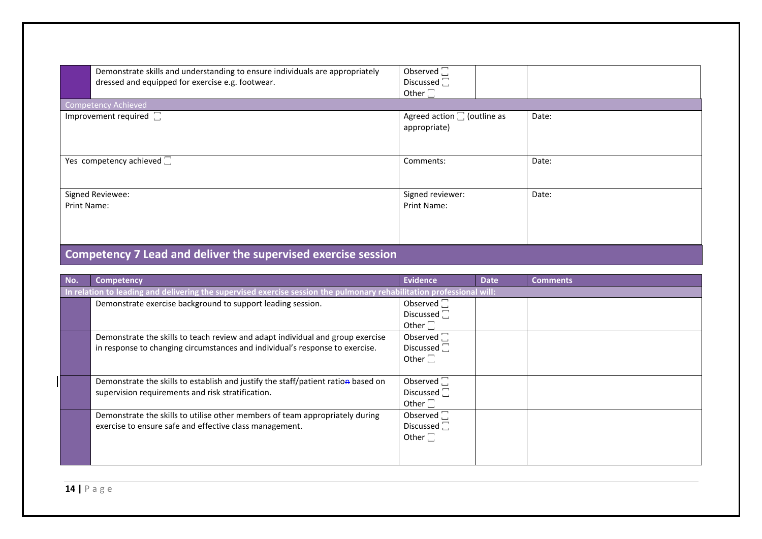| Demonstrate skills and understanding to ensure individuals are appropriately<br>dressed and equipped for exercise e.g. footwear. | Observed $\square$<br>Discussed $\square$<br>Other $\square$ |       |  |  |  |
|----------------------------------------------------------------------------------------------------------------------------------|--------------------------------------------------------------|-------|--|--|--|
| <b>Competency Achieved</b>                                                                                                       |                                                              |       |  |  |  |
| Improvement required $\square$                                                                                                   | Agreed action $\square$ (outline as<br>appropriate)          | Date: |  |  |  |
| Yes competency achieved $\square$                                                                                                | Comments:                                                    | Date: |  |  |  |
| Signed Reviewee:                                                                                                                 | Signed reviewer:                                             | Date: |  |  |  |
| Print Name:                                                                                                                      | <b>Print Name:</b>                                           |       |  |  |  |
| Competency 7 Lead and deliver the supervised exercise session                                                                    |                                                              |       |  |  |  |

#### **No. Competency Evidence Date Comments In relation to leading and delivering the supervised exercise session the pulmonary rehabilitation professional will:** Demonstrate exercise background to support leading session. Discussed  $\Box$ Other  $\Box$ Demonstrate the skills to teach review and adapt individual and group exercise in response to changing circumstances and individual's response to exercise. Observed  $\Box$ Discussed  $\square$ Other  $\Box$ Demonstrate the skills to establish and justify the staff/patient ration based on supervision requirements and risk stratification. Observed  $\Box$ Discussed  $\square$ Other  $\square$ Demonstrate the skills to utilise other members of team appropriately during exercise to ensure safe and effective class management. Observed<sup></sup> Discussed  $\square$ Other  $\square$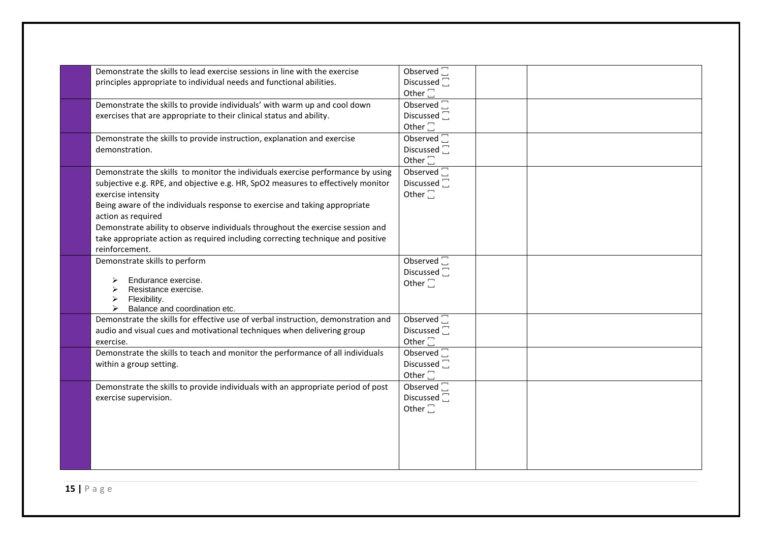| Demonstrate the skills to lead exercise sessions in line with the exercise<br>principles appropriate to individual needs and functional abilities.                                                                                                                                                                                                                                                                                                                                   | Observed <sup>1</sup><br>Discussed <sub>[</sub><br>Other $\square$     |  |
|--------------------------------------------------------------------------------------------------------------------------------------------------------------------------------------------------------------------------------------------------------------------------------------------------------------------------------------------------------------------------------------------------------------------------------------------------------------------------------------|------------------------------------------------------------------------|--|
| Demonstrate the skills to provide individuals' with warm up and cool down<br>exercises that are appropriate to their clinical status and ability.                                                                                                                                                                                                                                                                                                                                    | Observed <sup>[1]</sup><br>Discussed <sub>[1]</sub><br>Other $\square$ |  |
| Demonstrate the skills to provide instruction, explanation and exercise<br>demonstration.                                                                                                                                                                                                                                                                                                                                                                                            | Observed <sup>[1]</sup><br>Discussed $\square$<br>Other $\square$      |  |
| Demonstrate the skills to monitor the individuals exercise performance by using<br>subjective e.g. RPE, and objective e.g. HR, SpO2 measures to effectively monitor<br>exercise intensity<br>Being aware of the individuals response to exercise and taking appropriate<br>action as required<br>Demonstrate ability to observe individuals throughout the exercise session and<br>take appropriate action as required including correcting technique and positive<br>reinforcement. | Observed $\square$<br>Discussed $\square$<br>Other $\square$           |  |
| Demonstrate skills to perform<br>Endurance exercise.<br>Resistance exercise.<br>Flexibility.<br>➤<br>Balance and coordination etc.                                                                                                                                                                                                                                                                                                                                                   | Observed $\square$<br>Discussed $\square$<br>Other $\square$           |  |
| Demonstrate the skills for effective use of verbal instruction, demonstration and<br>audio and visual cues and motivational techniques when delivering group<br>exercise.                                                                                                                                                                                                                                                                                                            | Observed $\square$<br>Discussed <sup>7</sup><br>Other $\square$        |  |
| Demonstrate the skills to teach and monitor the performance of all individuals<br>within a group setting.                                                                                                                                                                                                                                                                                                                                                                            | Observed $\square$<br>Discussed <sup>1</sup><br>Other $\square$        |  |
| Demonstrate the skills to provide individuals with an appropriate period of post<br>exercise supervision.                                                                                                                                                                                                                                                                                                                                                                            | Observed <sup></sup><br>Discussed <sup>1</sup><br>Other $\square$      |  |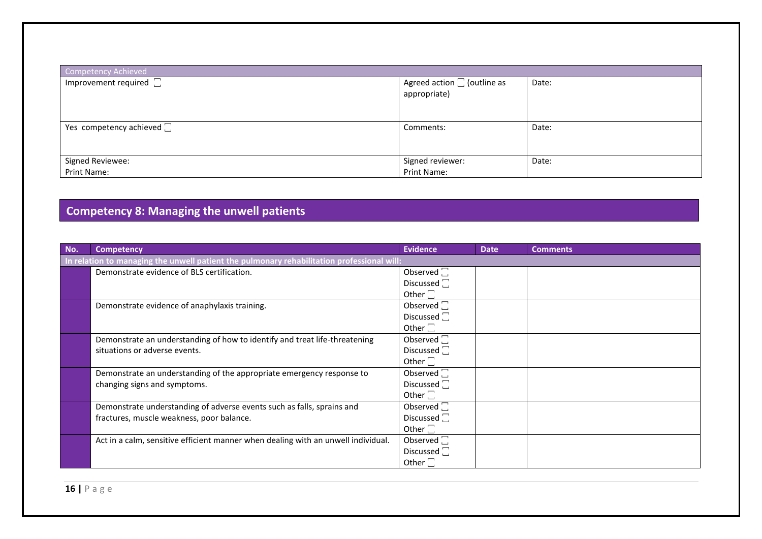| Competency Achieved               |                                                     |       |  |  |
|-----------------------------------|-----------------------------------------------------|-------|--|--|
| Improvement required $\square$    | Agreed action $\square$ (outline as<br>appropriate) | Date: |  |  |
| Yes competency achieved $\square$ | Comments:                                           | Date: |  |  |
| Signed Reviewee:                  | Signed reviewer:                                    | Date: |  |  |
| Print Name:                       | Print Name:                                         |       |  |  |

## **Competency 8: Managing the unwell patients**

| No. | <b>Competency</b>                                                                          | <b>Evidence</b>          | <b>Date</b> | <b>Comments</b> |  |  |
|-----|--------------------------------------------------------------------------------------------|--------------------------|-------------|-----------------|--|--|
|     | In relation to managing the unwell patient the pulmonary rehabilitation professional will: |                          |             |                 |  |  |
|     | Demonstrate evidence of BLS certification.                                                 | Observed $\Box$          |             |                 |  |  |
|     |                                                                                            | Discussed $\Box$         |             |                 |  |  |
|     |                                                                                            | Other $\square$          |             |                 |  |  |
|     | Demonstrate evidence of anaphylaxis training.                                              | Observed $\square$       |             |                 |  |  |
|     |                                                                                            | Discussed <sup>-</sup>   |             |                 |  |  |
|     |                                                                                            | Other $\square$          |             |                 |  |  |
|     | Demonstrate an understanding of how to identify and treat life-threatening                 | Observed $\square$       |             |                 |  |  |
|     | situations or adverse events.                                                              | Discussed <sup>[1]</sup> |             |                 |  |  |
|     |                                                                                            | Other $\square$          |             |                 |  |  |
|     | Demonstrate an understanding of the appropriate emergency response to                      | Observed $\square$       |             |                 |  |  |
|     | changing signs and symptoms.                                                               | Discussed <sup>-</sup>   |             |                 |  |  |
|     |                                                                                            | Other $\square$          |             |                 |  |  |
|     | Demonstrate understanding of adverse events such as falls, sprains and                     | Observed $\square$       |             |                 |  |  |
|     | fractures, muscle weakness, poor balance.                                                  | Discussed <sub>[</sub>   |             |                 |  |  |
|     |                                                                                            | Other $\square$          |             |                 |  |  |
|     | Act in a calm, sensitive efficient manner when dealing with an unwell individual.          | Observed $\square$       |             |                 |  |  |
|     |                                                                                            | Discussed <sup>-</sup>   |             |                 |  |  |
|     |                                                                                            | Other $\square$          |             |                 |  |  |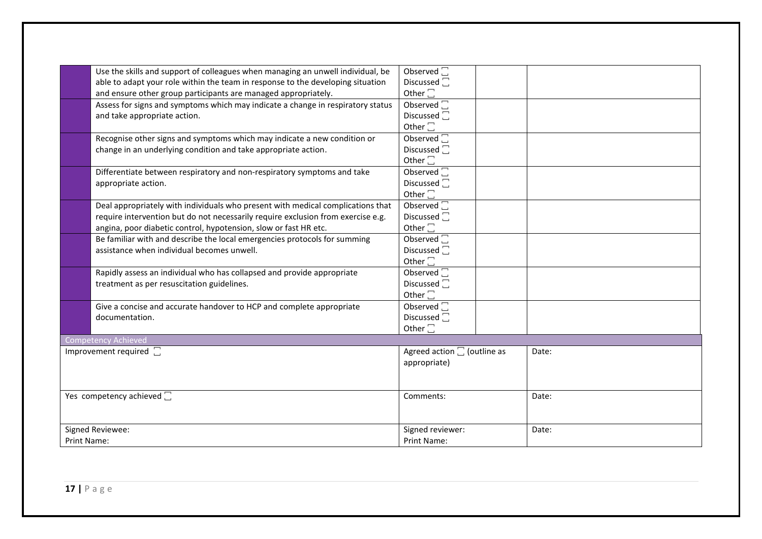|                           | Use the skills and support of colleagues when managing an unwell individual, be  | Observed $\Box$                     |       |
|---------------------------|----------------------------------------------------------------------------------|-------------------------------------|-------|
|                           | able to adapt your role within the team in response to the developing situation  | Discussed $\square$                 |       |
|                           | and ensure other group participants are managed appropriately.                   | Other $\square$                     |       |
|                           | Assess for signs and symptoms which may indicate a change in respiratory status  | Observed $\square$                  |       |
|                           | and take appropriate action.                                                     | Discussed <sup>1</sup>              |       |
|                           |                                                                                  | Other $\square$                     |       |
|                           | Recognise other signs and symptoms which may indicate a new condition or         | Observed <sup>[1]</sup>             |       |
|                           | change in an underlying condition and take appropriate action.                   | Discussed $\square$                 |       |
|                           |                                                                                  | Other $\square$                     |       |
|                           | Differentiate between respiratory and non-respiratory symptoms and take          | Observed $\square$                  |       |
|                           | appropriate action.                                                              | Discussed <sup>1</sup>              |       |
|                           |                                                                                  | Other $\square$                     |       |
|                           | Deal appropriately with individuals who present with medical complications that  | Observed <sup>[1]</sup>             |       |
|                           | require intervention but do not necessarily require exclusion from exercise e.g. | Discussed <sup>-</sup>              |       |
|                           | angina, poor diabetic control, hypotension, slow or fast HR etc.                 | Other $\square$                     |       |
|                           | Be familiar with and describe the local emergencies protocols for summing        | Observed $\square$                  |       |
|                           | assistance when individual becomes unwell.                                       | Discussed <sup>1</sup>              |       |
|                           |                                                                                  | Other $\square$                     |       |
|                           | Rapidly assess an individual who has collapsed and provide appropriate           | Observed $\overline{\Box}$          |       |
|                           | treatment as per resuscitation guidelines.                                       | Discussed <sup>[]</sup>             |       |
|                           |                                                                                  | Other $\square$                     |       |
|                           | Give a concise and accurate handover to HCP and complete appropriate             | Observed <sup>1</sup>               |       |
|                           | documentation.                                                                   | Discussed <sup>1</sup>              |       |
|                           |                                                                                  | Other $\square$                     |       |
|                           | <b>Competency Achieved</b>                                                       |                                     |       |
|                           | Improvement required $\square$                                                   | Agreed action $\square$ (outline as | Date: |
|                           |                                                                                  | appropriate)                        |       |
|                           |                                                                                  |                                     |       |
|                           |                                                                                  |                                     |       |
| Yes competency achieved C |                                                                                  | Comments:                           | Date: |
|                           |                                                                                  |                                     |       |
|                           |                                                                                  |                                     |       |
|                           | Signed Reviewee:                                                                 | Signed reviewer:                    | Date: |
| Print Name:               |                                                                                  | Print Name:                         |       |
|                           |                                                                                  |                                     |       |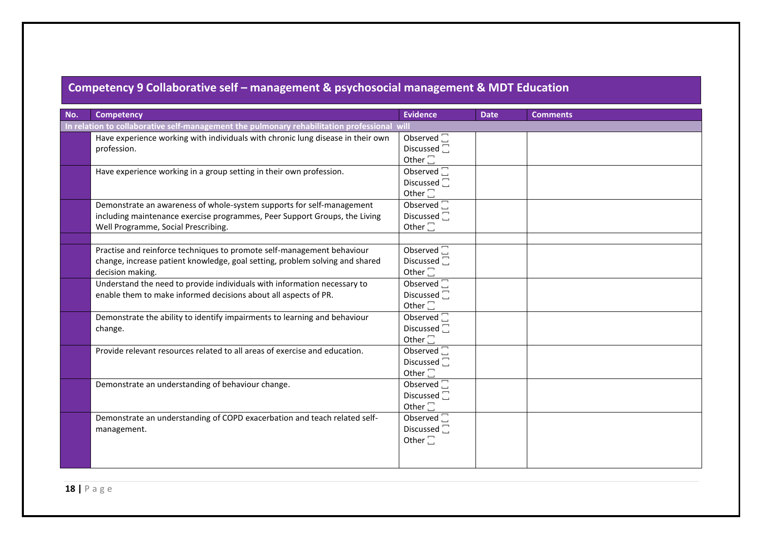## **Competency 9 Collaborative self – management & psychosocial management & MDT Education**

| No. | <b>Competency</b>                                                                                                                                                                          | <b>Evidence</b>                                                      | <b>Date</b> | <b>Comments</b> |  |
|-----|--------------------------------------------------------------------------------------------------------------------------------------------------------------------------------------------|----------------------------------------------------------------------|-------------|-----------------|--|
|     | In relation to collaborative self-management the pulmonary rehabilitation professional will                                                                                                |                                                                      |             |                 |  |
|     | Have experience working with individuals with chronic lung disease in their own<br>profession.                                                                                             | Observed <sup>[1]</sup><br>Discussed <sup>-</sup><br>Other $\square$ |             |                 |  |
|     | Have experience working in a group setting in their own profession.                                                                                                                        | Observed <sup>1</sup><br>Discussed $\square$<br>Other $\square$      |             |                 |  |
|     | Demonstrate an awareness of whole-system supports for self-management<br>including maintenance exercise programmes, Peer Support Groups, the Living<br>Well Programme, Social Prescribing. | Observed $\square$<br>Discussed <sub>[1]</sub><br>Other $\square$    |             |                 |  |
|     | Practise and reinforce techniques to promote self-management behaviour<br>change, increase patient knowledge, goal setting, problem solving and shared<br>decision making.                 | Observed $\square$<br>Discussed <sup>-</sup><br>Other $\square$      |             |                 |  |
|     | Understand the need to provide individuals with information necessary to<br>enable them to make informed decisions about all aspects of PR.                                                | Observed $\Box$<br>Discussed $\Box$<br>Other $\square$               |             |                 |  |
|     | Demonstrate the ability to identify impairments to learning and behaviour<br>change.                                                                                                       | Observed <sup>[1]</sup><br>Discussed $\square$<br>Other $\square$    |             |                 |  |
|     | Provide relevant resources related to all areas of exercise and education.                                                                                                                 | Observed $\square$<br>Discussed <sup>1</sup><br>Other $\square$      |             |                 |  |
|     | Demonstrate an understanding of behaviour change.                                                                                                                                          | Observed $\square$<br>Discussed $\Box$<br>Other $\square$            |             |                 |  |
|     | Demonstrate an understanding of COPD exacerbation and teach related self-<br>management.                                                                                                   | Observed <sup>-</sup><br>Discussed <sub>[1]</sub><br>Other $\square$ |             |                 |  |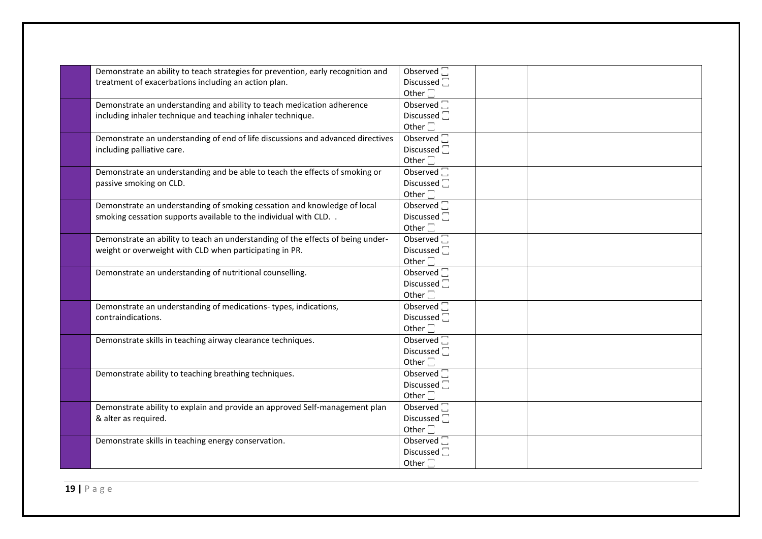| Demonstrate an ability to teach strategies for prevention, early recognition and | Observed $\overline{\Box}$ |
|----------------------------------------------------------------------------------|----------------------------|
| treatment of exacerbations including an action plan.                             | Discussed <sub>[1]</sub>   |
|                                                                                  | Other $\square$            |
| Demonstrate an understanding and ability to teach medication adherence           | Observed <sup>[1]</sup>    |
| including inhaler technique and teaching inhaler technique.                      | Discussed <sup>[]</sup>    |
|                                                                                  | Other $\square$            |
| Demonstrate an understanding of end of life discussions and advanced directives  | Observed <sup>[1]</sup>    |
| including palliative care.                                                       | Discussed <sup>-</sup>     |
|                                                                                  | Other $\square$            |
| Demonstrate an understanding and be able to teach the effects of smoking or      | Observed $\square$         |
| passive smoking on CLD.                                                          | Discussed <sup>[]</sup>    |
|                                                                                  | Other $\square$            |
| Demonstrate an understanding of smoking cessation and knowledge of local         | Observed $\square$         |
| smoking cessation supports available to the individual with CLD. .               | Discussed <sup>-</sup>     |
|                                                                                  | Other $\square$            |
| Demonstrate an ability to teach an understanding of the effects of being under-  | Observed $\overline{\Box}$ |
| weight or overweight with CLD when participating in PR.                          | Discussed <sup>1</sup>     |
|                                                                                  | Other $\square$            |
| Demonstrate an understanding of nutritional counselling.                         | Observed <sup>[1]</sup>    |
|                                                                                  | Discussed <sup>1</sup>     |
|                                                                                  | Other $\square$            |
| Demonstrate an understanding of medications-types, indications,                  | Observed $\square$         |
| contraindications.                                                               | Discussed <sup>1</sup>     |
|                                                                                  | Other $\square$            |
| Demonstrate skills in teaching airway clearance techniques.                      | Observed $\square$         |
|                                                                                  | Discussed <sub>[1]</sub>   |
|                                                                                  | Other $\square$            |
| Demonstrate ability to teaching breathing techniques.                            | Observed <sup>[1]</sup>    |
|                                                                                  | Discussed <sup>1</sup>     |
|                                                                                  | Other $\square$            |
| Demonstrate ability to explain and provide an approved Self-management plan      | Observed <sup>[1]</sup>    |
| & alter as required.                                                             | Discussed $\square$        |
|                                                                                  | Other $\square$            |
| Demonstrate skills in teaching energy conservation.                              | Observed <sup>[]</sup>     |
|                                                                                  | Discussed $\square$        |
|                                                                                  | Other $\square$            |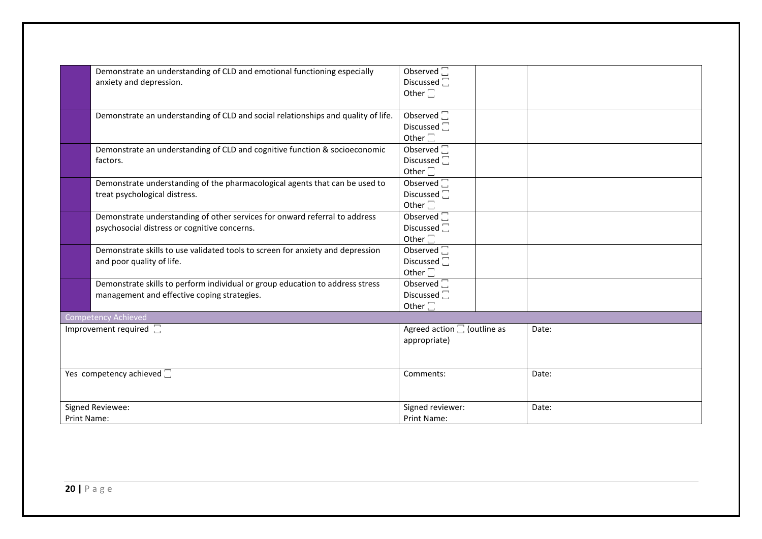|                                   | Demonstrate an understanding of CLD and emotional functioning especially          | Observed $\square$                  |       |
|-----------------------------------|-----------------------------------------------------------------------------------|-------------------------------------|-------|
|                                   | anxiety and depression.                                                           | Discussed <sub>[1]</sub>            |       |
|                                   |                                                                                   | Other $\square$                     |       |
|                                   |                                                                                   |                                     |       |
|                                   | Demonstrate an understanding of CLD and social relationships and quality of life. | Observed $\square$                  |       |
|                                   |                                                                                   | Discussed <sub>[</sub>              |       |
|                                   |                                                                                   | Other $\square$                     |       |
|                                   | Demonstrate an understanding of CLD and cognitive function & socioeconomic        | Observed $\square$                  |       |
|                                   | factors.                                                                          | Discussed <sup>-</sup>              |       |
|                                   |                                                                                   | Other $\square$                     |       |
|                                   | Demonstrate understanding of the pharmacological agents that can be used to       | Observed $\square$                  |       |
|                                   | treat psychological distress.                                                     | Discussed <sup>1</sup>              |       |
|                                   |                                                                                   |                                     |       |
|                                   |                                                                                   | Other $\square$                     |       |
|                                   | Demonstrate understanding of other services for onward referral to address        | Observed $\Box$                     |       |
|                                   | psychosocial distress or cognitive concerns.                                      | Discussed <sub>[</sub>              |       |
|                                   |                                                                                   | Other $\square$                     |       |
|                                   | Demonstrate skills to use validated tools to screen for anxiety and depression    | Observed $\square$                  |       |
|                                   | and poor quality of life.                                                         | Discussed $\Box$                    |       |
|                                   |                                                                                   | Other $\square$                     |       |
|                                   | Demonstrate skills to perform individual or group education to address stress     | Observed $\Box$                     |       |
|                                   | management and effective coping strategies.                                       | Discussed $\square$                 |       |
|                                   |                                                                                   | Other $\square$                     |       |
|                                   | Competency Achieved                                                               |                                     |       |
|                                   | Improvement required $\square$                                                    | Agreed action $\square$ (outline as | Date: |
|                                   |                                                                                   | appropriate)                        |       |
|                                   |                                                                                   |                                     |       |
|                                   |                                                                                   |                                     |       |
|                                   |                                                                                   |                                     |       |
| Yes competency achieved $\square$ |                                                                                   | Comments:                           | Date: |
|                                   |                                                                                   |                                     |       |
|                                   |                                                                                   |                                     |       |
|                                   | Signed Reviewee:                                                                  | Signed reviewer:                    | Date: |
| <b>Print Name:</b>                |                                                                                   | <b>Print Name:</b>                  |       |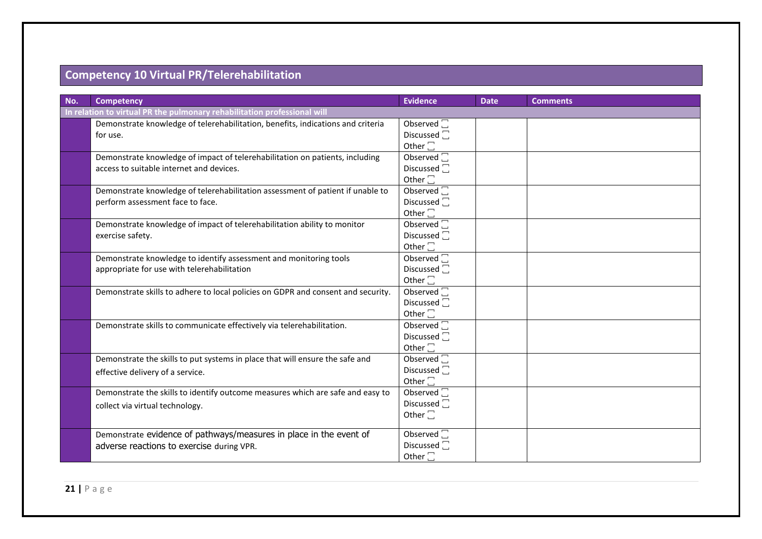## **Competency 10 Virtual PR/Telerehabilitation**

| No. | <b>Competency</b>                                                                | <b>Evidence</b>         | <b>Date</b> | <b>Comments</b> |  |
|-----|----------------------------------------------------------------------------------|-------------------------|-------------|-----------------|--|
|     | In relation to virtual PR the pulmonary rehabilitation professional will         |                         |             |                 |  |
|     | Demonstrate knowledge of telerehabilitation, benefits, indications and criteria  | Observed $\square$      |             |                 |  |
|     | for use.                                                                         | Discussed <sup>7</sup>  |             |                 |  |
|     |                                                                                  | Other $\square$         |             |                 |  |
|     | Demonstrate knowledge of impact of telerehabilitation on patients, including     | Observed $\square$      |             |                 |  |
|     | access to suitable internet and devices.                                         | Discussed <sup>[]</sup> |             |                 |  |
|     |                                                                                  | Other $\square$         |             |                 |  |
|     | Demonstrate knowledge of telerehabilitation assessment of patient if unable to   | Observed <sup>[1]</sup> |             |                 |  |
|     | perform assessment face to face.                                                 | Discussed <sup>[]</sup> |             |                 |  |
|     |                                                                                  | Other $\square$         |             |                 |  |
|     | Demonstrate knowledge of impact of telerehabilitation ability to monitor         | Observed $\square$      |             |                 |  |
|     | exercise safety.                                                                 | Discussed <sup>[]</sup> |             |                 |  |
|     |                                                                                  | Other $\square$         |             |                 |  |
|     | Demonstrate knowledge to identify assessment and monitoring tools                | Observed $\square$      |             |                 |  |
|     | appropriate for use with telerehabilitation                                      | Discussed <sup>[]</sup> |             |                 |  |
|     |                                                                                  | Other $\square$         |             |                 |  |
|     | Demonstrate skills to adhere to local policies on GDPR and consent and security. | Observed $\Box$         |             |                 |  |
|     |                                                                                  | Discussed <sup>-</sup>  |             |                 |  |
|     |                                                                                  | Other $\square$         |             |                 |  |
|     | Demonstrate skills to communicate effectively via telerehabilitation.            | Observed <sup></sup>    |             |                 |  |
|     |                                                                                  | Discussed <sup>[]</sup> |             |                 |  |
|     |                                                                                  | Other $\square$         |             |                 |  |
|     | Demonstrate the skills to put systems in place that will ensure the safe and     | Observed $\square$      |             |                 |  |
|     | effective delivery of a service.                                                 | Discussed $\square$     |             |                 |  |
|     |                                                                                  | Other $\square$         |             |                 |  |
|     | Demonstrate the skills to identify outcome measures which are safe and easy to   | Observed $\square$      |             |                 |  |
|     | collect via virtual technology.                                                  | Discussed <sup>1</sup>  |             |                 |  |
|     |                                                                                  | Other $\square$         |             |                 |  |
|     | Demonstrate evidence of pathways/measures in place in the event of               | Observed $\square$      |             |                 |  |
|     |                                                                                  | Discussed <sup>-</sup>  |             |                 |  |
|     | adverse reactions to exercise during VPR.                                        | Other $\square$         |             |                 |  |
|     |                                                                                  |                         |             |                 |  |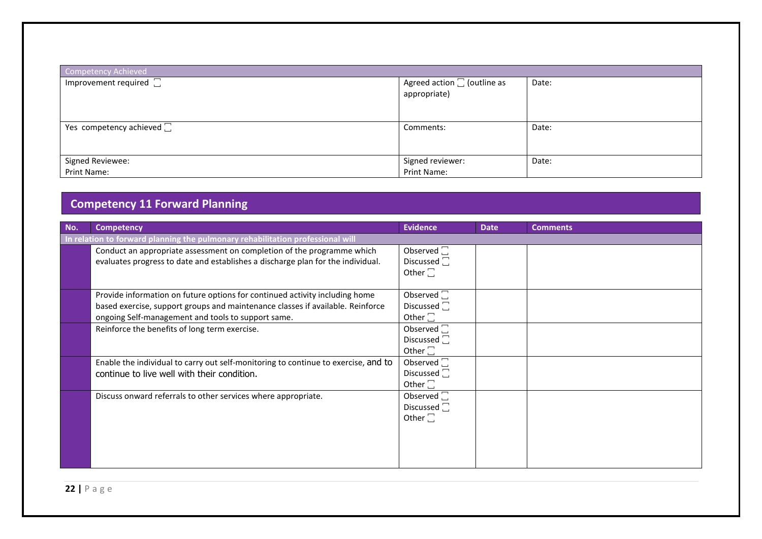| Competency Achieved               |                                                     |       |  |  |
|-----------------------------------|-----------------------------------------------------|-------|--|--|
| Improvement required $\square$    | Agreed action $\square$ (outline as<br>appropriate) | Date: |  |  |
| Yes competency achieved $\square$ | Comments:                                           | Date: |  |  |
| Signed Reviewee:                  | Signed reviewer:                                    | Date: |  |  |
| Print Name:                       | Print Name:                                         |       |  |  |

#### **Competency 11 Forward Planning**

| No. | <b>Competency</b>                                                                  | <b>Evidence</b>     | <b>Date</b> | <b>Comments</b> |  |  |
|-----|------------------------------------------------------------------------------------|---------------------|-------------|-----------------|--|--|
|     | In relation to forward planning the pulmonary rehabilitation professional will     |                     |             |                 |  |  |
|     | Conduct an appropriate assessment on completion of the programme which             | Observed $\square$  |             |                 |  |  |
|     | evaluates progress to date and establishes a discharge plan for the individual.    | Discussed $\square$ |             |                 |  |  |
|     |                                                                                    | Other $\square$     |             |                 |  |  |
|     |                                                                                    |                     |             |                 |  |  |
|     | Provide information on future options for continued activity including home        | Observed $\square$  |             |                 |  |  |
|     | based exercise, support groups and maintenance classes if available. Reinforce     | Discussed $\square$ |             |                 |  |  |
|     | ongoing Self-management and tools to support same.                                 | Other $\square$     |             |                 |  |  |
|     | Reinforce the benefits of long term exercise.                                      | Observed $\square$  |             |                 |  |  |
|     |                                                                                    | Discussed $\square$ |             |                 |  |  |
|     |                                                                                    | Other $\square$     |             |                 |  |  |
|     | Enable the individual to carry out self-monitoring to continue to exercise, and to | Observed $\square$  |             |                 |  |  |
|     | continue to live well with their condition.                                        | Discussed $\square$ |             |                 |  |  |
|     |                                                                                    | Other $\square$     |             |                 |  |  |
|     | Discuss onward referrals to other services where appropriate.                      | Observed $\square$  |             |                 |  |  |
|     |                                                                                    | Discussed $\square$ |             |                 |  |  |
|     |                                                                                    | Other $\square$     |             |                 |  |  |
|     |                                                                                    |                     |             |                 |  |  |
|     |                                                                                    |                     |             |                 |  |  |
|     |                                                                                    |                     |             |                 |  |  |
|     |                                                                                    |                     |             |                 |  |  |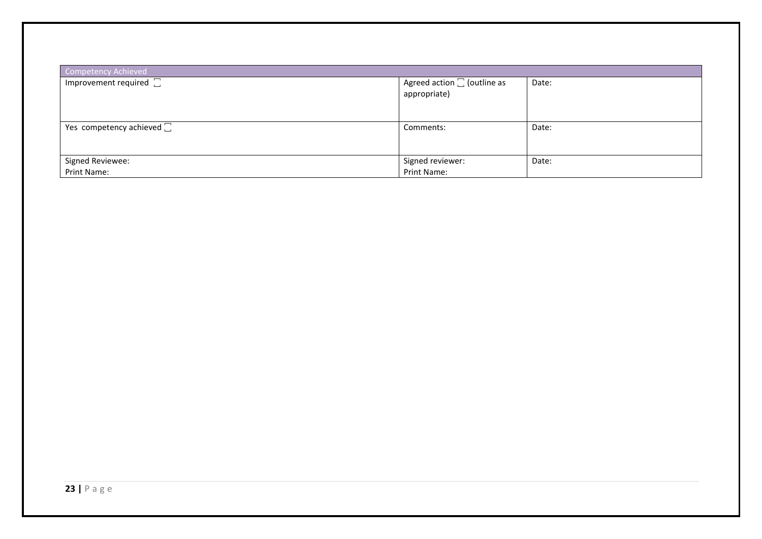| Competency Achieved               |                                                     |       |  |  |
|-----------------------------------|-----------------------------------------------------|-------|--|--|
| Improvement required $\square$    | Agreed action $\square$ (outline as<br>appropriate) | Date: |  |  |
| Yes competency achieved $\square$ | Comments:                                           | Date: |  |  |
| Signed Reviewee:                  | Signed reviewer:                                    | Date: |  |  |
| Print Name:                       | Print Name:                                         |       |  |  |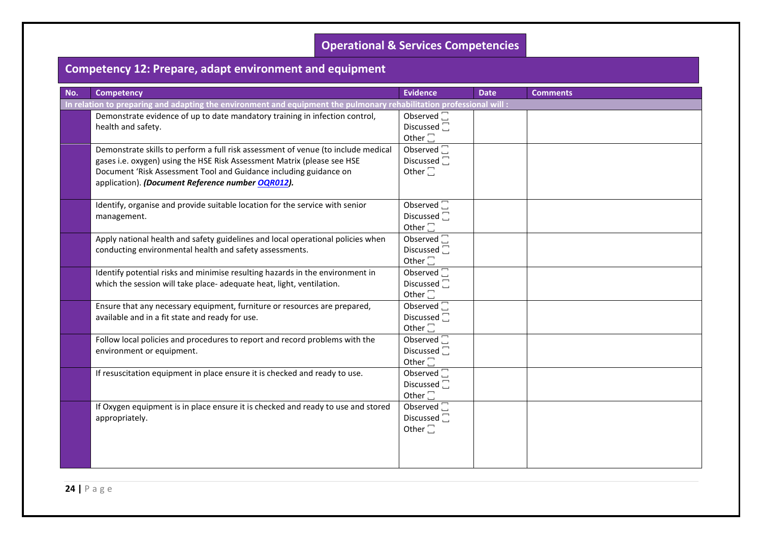#### **Operational & Services Competencies**

## **Competency 12: Prepare, adapt environment and equipment**

| No. | <b>Competency</b>                                                                                                                                                                                                                                                                      | <b>Evidence</b>                                                       | <b>Date</b> | <b>Comments</b> |  |
|-----|----------------------------------------------------------------------------------------------------------------------------------------------------------------------------------------------------------------------------------------------------------------------------------------|-----------------------------------------------------------------------|-------------|-----------------|--|
|     | In relation to preparing and adapting the environment and equipment the pulmonary rehabilitation professional will :                                                                                                                                                                   |                                                                       |             |                 |  |
|     | Demonstrate evidence of up to date mandatory training in infection control,<br>health and safety.                                                                                                                                                                                      | Observed $\square$<br>Discussed $\Box$<br>Other $\square$             |             |                 |  |
|     | Demonstrate skills to perform a full risk assessment of venue (to include medical<br>gases i.e. oxygen) using the HSE Risk Assessment Matrix (please see HSE<br>Document 'Risk Assessment Tool and Guidance including guidance on<br>application). (Document Reference number OQR012). | Observed $\square$<br>Discussed $\overline{\Box}$<br>Other $\square$  |             |                 |  |
|     | Identify, organise and provide suitable location for the service with senior<br>management.                                                                                                                                                                                            | Observed $\square$<br>Discussed <sup>[]</sup><br>Other $\square$      |             |                 |  |
|     | Apply national health and safety guidelines and local operational policies when<br>conducting environmental health and safety assessments.                                                                                                                                             | Observed <sup>[1]</sup><br>Discussed <sup>[]</sup><br>Other $\square$ |             |                 |  |
|     | Identify potential risks and minimise resulting hazards in the environment in<br>which the session will take place- adequate heat, light, ventilation.                                                                                                                                 | Observed $\sqrt{ }$<br>Discussed <sup>1</sup><br>Other $\square$      |             |                 |  |
|     | Ensure that any necessary equipment, furniture or resources are prepared,<br>available and in a fit state and ready for use.                                                                                                                                                           | Observed $\square$<br>Discussed $\Box$<br>Other $\square$             |             |                 |  |
|     | Follow local policies and procedures to report and record problems with the<br>environment or equipment.                                                                                                                                                                               | Observed $\Box$<br>Discussed <sub>[1]</sub><br>Other $\square$        |             |                 |  |
|     | If resuscitation equipment in place ensure it is checked and ready to use.                                                                                                                                                                                                             | Observed <sup>[1]</sup><br>Discussed <sup>-</sup><br>Other $\square$  |             |                 |  |
|     | If Oxygen equipment is in place ensure it is checked and ready to use and stored<br>appropriately.                                                                                                                                                                                     | Observed $\square$<br>Discussed <sup>-</sup><br>Other $\square$       |             |                 |  |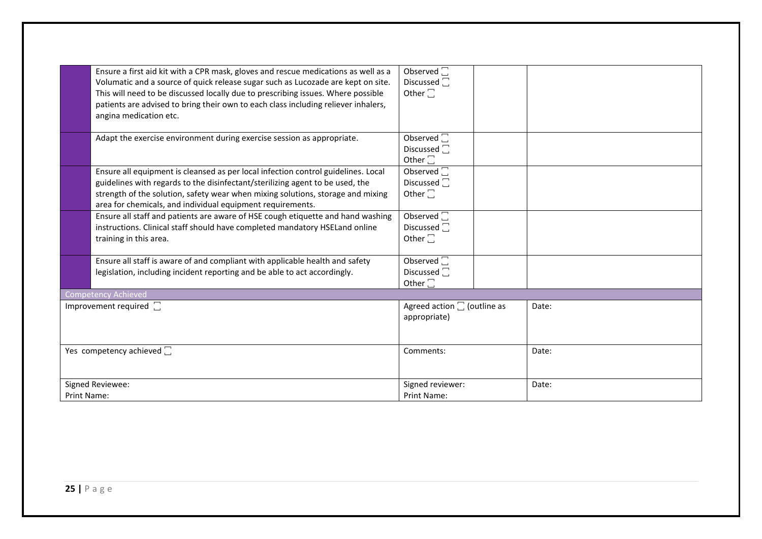|                                | Ensure a first aid kit with a CPR mask, gloves and rescue medications as well as a<br>Volumatic and a source of quick release sugar such as Lucozade are kept on site.<br>This will need to be discussed locally due to prescribing issues. Where possible | Observed $\square$<br>Discussed $\Box$<br>Other $\square$       |       |
|--------------------------------|------------------------------------------------------------------------------------------------------------------------------------------------------------------------------------------------------------------------------------------------------------|-----------------------------------------------------------------|-------|
|                                | patients are advised to bring their own to each class including reliever inhalers,<br>angina medication etc.                                                                                                                                               |                                                                 |       |
|                                | Adapt the exercise environment during exercise session as appropriate.                                                                                                                                                                                     | Observed $\square$<br>Discussed <sup>-</sup><br>Other $\square$ |       |
|                                | Ensure all equipment is cleansed as per local infection control guidelines. Local                                                                                                                                                                          | Observed $\Box$                                                 |       |
|                                | guidelines with regards to the disinfectant/sterilizing agent to be used, the                                                                                                                                                                              | Discussed $\Box$                                                |       |
|                                | strength of the solution, safety wear when mixing solutions, storage and mixing<br>area for chemicals, and individual equipment requirements.                                                                                                              | Other $\square$                                                 |       |
|                                | Ensure all staff and patients are aware of HSE cough etiquette and hand washing                                                                                                                                                                            | Observed $\square$                                              |       |
|                                | instructions. Clinical staff should have completed mandatory HSELand online                                                                                                                                                                                | Discussed $\square$                                             |       |
|                                | training in this area.                                                                                                                                                                                                                                     | Other $\square$                                                 |       |
|                                | Ensure all staff is aware of and compliant with applicable health and safety                                                                                                                                                                               | Observed $\square$                                              |       |
|                                | legislation, including incident reporting and be able to act accordingly.                                                                                                                                                                                  | Discussed <sub>I</sub>                                          |       |
|                                |                                                                                                                                                                                                                                                            | Other $\square$                                                 |       |
|                                | <b>Competency Achieved</b>                                                                                                                                                                                                                                 |                                                                 |       |
| Improvement required $\square$ |                                                                                                                                                                                                                                                            | Agreed action $\square$ (outline as<br>appropriate)             | Date: |
| Yes competency achieved [      |                                                                                                                                                                                                                                                            | Comments:                                                       | Date: |
| Signed Reviewee:               |                                                                                                                                                                                                                                                            | Signed reviewer:                                                | Date: |
| <b>Print Name:</b>             |                                                                                                                                                                                                                                                            | Print Name:                                                     |       |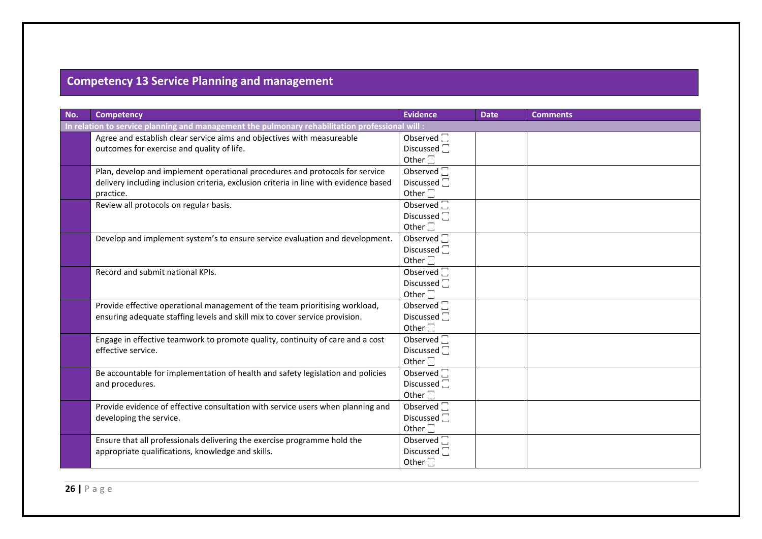# **Competency 13 Service Planning and management**

| No. | <b>Competency</b>                                                                               | <b>Evidence</b>         | <b>Date</b> | <b>Comments</b> |  |
|-----|-------------------------------------------------------------------------------------------------|-------------------------|-------------|-----------------|--|
|     | In relation to service planning and management the pulmonary rehabilitation professional will : |                         |             |                 |  |
|     | Agree and establish clear service aims and objectives with measureable                          | Observed $\square$      |             |                 |  |
|     | outcomes for exercise and quality of life.                                                      | Discussed <sub>[</sub>  |             |                 |  |
|     |                                                                                                 | Other $\square$         |             |                 |  |
|     | Plan, develop and implement operational procedures and protocols for service                    | Observed $\square$      |             |                 |  |
|     | delivery including inclusion criteria, exclusion criteria in line with evidence based           | Discussed <sup>[]</sup> |             |                 |  |
|     | practice.                                                                                       | Other $\square$         |             |                 |  |
|     | Review all protocols on regular basis.                                                          | Observed $\square$      |             |                 |  |
|     |                                                                                                 | Discussed $\Box$        |             |                 |  |
|     |                                                                                                 | Other $\square$         |             |                 |  |
|     | Develop and implement system's to ensure service evaluation and development.                    | Observed $\square$      |             |                 |  |
|     |                                                                                                 | Discussed <sup>[]</sup> |             |                 |  |
|     |                                                                                                 | Other $\square$         |             |                 |  |
|     | Record and submit national KPIs.                                                                | Observed $\square$      |             |                 |  |
|     |                                                                                                 | Discussed <sup>7</sup>  |             |                 |  |
|     |                                                                                                 | Other $\square$         |             |                 |  |
|     | Provide effective operational management of the team prioritising workload,                     | Observed $\square$      |             |                 |  |
|     | ensuring adequate staffing levels and skill mix to cover service provision.                     | Discussed $\square$     |             |                 |  |
|     |                                                                                                 | Other $\square$         |             |                 |  |
|     | Engage in effective teamwork to promote quality, continuity of care and a cost                  | Observed <sup>[1]</sup> |             |                 |  |
|     | effective service.                                                                              | Discussed <sup>1</sup>  |             |                 |  |
|     |                                                                                                 | Other $\square$         |             |                 |  |
|     | Be accountable for implementation of health and safety legislation and policies                 | Observed $\square$      |             |                 |  |
|     | and procedures.                                                                                 | Discussed $\square$     |             |                 |  |
|     |                                                                                                 | Other $\square$         |             |                 |  |
|     | Provide evidence of effective consultation with service users when planning and                 | Observed $\square$      |             |                 |  |
|     | developing the service.                                                                         | Discussed <sup>[]</sup> |             |                 |  |
|     |                                                                                                 | Other $\square$         |             |                 |  |
|     | Ensure that all professionals delivering the exercise programme hold the                        | Observed $\square$      |             |                 |  |
|     | appropriate qualifications, knowledge and skills.                                               | Discussed $\Box$        |             |                 |  |
|     |                                                                                                 | Other $\square$         |             |                 |  |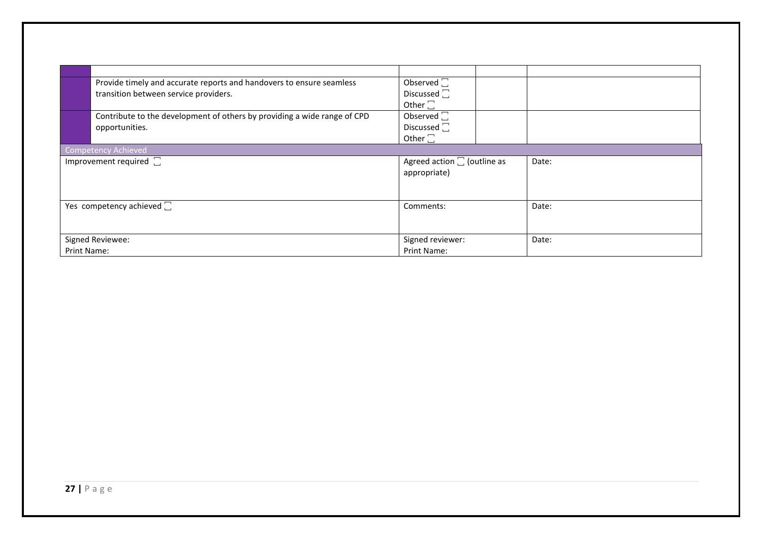| Provide timely and accurate reports and handovers to ensure seamless<br>transition between service providers. | Observed $\square$<br>Discussed $\square$<br>Other $\square$ |       |  |  |  |  |
|---------------------------------------------------------------------------------------------------------------|--------------------------------------------------------------|-------|--|--|--|--|
| Contribute to the development of others by providing a wide range of CPD<br>opportunities.                    | Observed $\square$<br>Discussed $\square$<br>Other $\square$ |       |  |  |  |  |
| <b>Competency Achieved</b>                                                                                    |                                                              |       |  |  |  |  |
| Improvement required [                                                                                        | Agreed action $\square$ (outline as<br>appropriate)          | Date: |  |  |  |  |
| Yes competency achieved $\square$                                                                             | Comments:                                                    | Date: |  |  |  |  |
| Signed Reviewee:                                                                                              | Signed reviewer:                                             | Date: |  |  |  |  |
| <b>Print Name:</b>                                                                                            | Print Name:                                                  |       |  |  |  |  |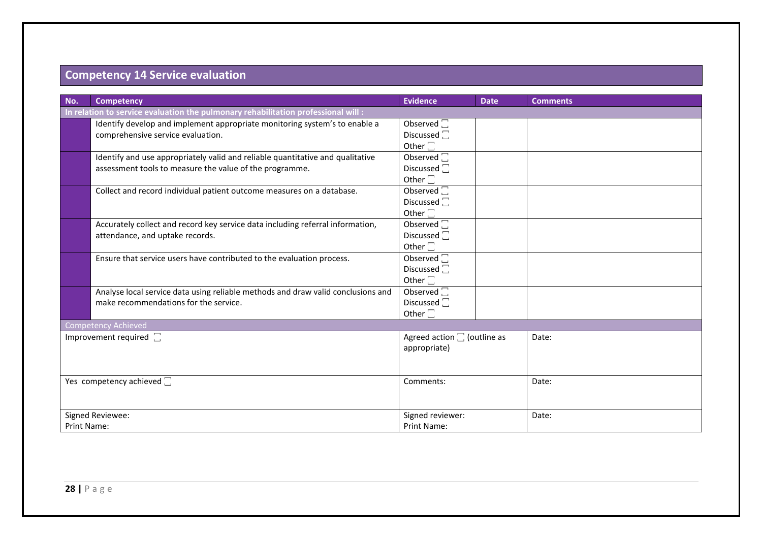#### **Competency 14 Service evaluation**

| No.                               | <b>Competency</b>                                                                 | <b>Evidence</b>                     | <b>Date</b> | <b>Comments</b> |  |  |
|-----------------------------------|-----------------------------------------------------------------------------------|-------------------------------------|-------------|-----------------|--|--|
|                                   | In relation to service evaluation the pulmonary rehabilitation professional will: |                                     |             |                 |  |  |
|                                   | Identify develop and implement appropriate monitoring system's to enable a        | Observed $\square$                  |             |                 |  |  |
|                                   | comprehensive service evaluation.                                                 | Discussed $\square$                 |             |                 |  |  |
|                                   |                                                                                   | Other $\square$                     |             |                 |  |  |
|                                   | Identify and use appropriately valid and reliable quantitative and qualitative    | Observed $\square$                  |             |                 |  |  |
|                                   | assessment tools to measure the value of the programme.                           | Discussed <sup>-</sup>              |             |                 |  |  |
|                                   |                                                                                   | Other $\square$                     |             |                 |  |  |
|                                   | Collect and record individual patient outcome measures on a database.             | Observed $\square$                  |             |                 |  |  |
|                                   |                                                                                   | Discussed $\square$                 |             |                 |  |  |
|                                   |                                                                                   | Other $\square$                     |             |                 |  |  |
|                                   | Accurately collect and record key service data including referral information,    | Observed $\square$                  |             |                 |  |  |
|                                   | attendance, and uptake records.                                                   | Discussed $\square$                 |             |                 |  |  |
|                                   |                                                                                   | Other $\square$                     |             |                 |  |  |
|                                   | Ensure that service users have contributed to the evaluation process.             | Observed $\Box$                     |             |                 |  |  |
|                                   |                                                                                   | Discussed <sup>-</sup>              |             |                 |  |  |
|                                   |                                                                                   | Other $\square$                     |             |                 |  |  |
|                                   | Analyse local service data using reliable methods and draw valid conclusions and  | Observed $\square$                  |             |                 |  |  |
|                                   | make recommendations for the service.                                             | Discussed $\square$                 |             |                 |  |  |
|                                   |                                                                                   | Other $\square$                     |             |                 |  |  |
|                                   | <b>Competency Achieved</b>                                                        |                                     |             |                 |  |  |
|                                   | Improvement required [                                                            | Agreed action $\square$ (outline as |             | Date:           |  |  |
|                                   |                                                                                   | appropriate)                        |             |                 |  |  |
|                                   |                                                                                   |                                     |             |                 |  |  |
|                                   |                                                                                   |                                     |             |                 |  |  |
| Yes competency achieved $\square$ |                                                                                   | Comments:                           |             | Date:           |  |  |
|                                   |                                                                                   |                                     |             |                 |  |  |
|                                   |                                                                                   |                                     |             |                 |  |  |
| Signed Reviewee:                  |                                                                                   | Signed reviewer:                    |             | Date:           |  |  |
| Print Name:                       |                                                                                   | Print Name:                         |             |                 |  |  |